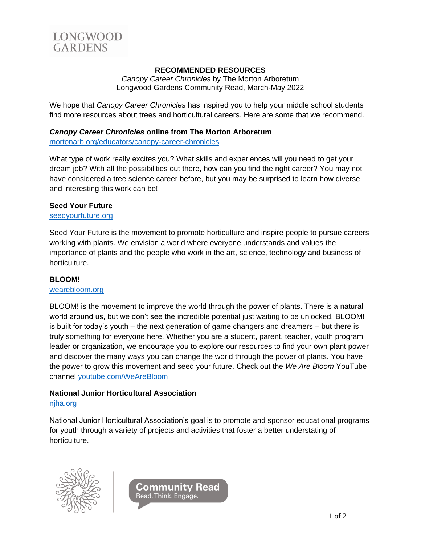

# **RECOMMENDED RESOURCES**

*Canopy Career Chronicles* by The Morton Arboretum Longwood Gardens Community Read, March-May 2022

We hope that *Canopy Career Chronicles* has inspired you to help your middle school students find more resources about trees and horticultural careers. Here are some that we recommend.

## *Canopy Career Chronicles* **online from The Morton Arboretum**

[mortonarb.org/educators/canopy-career-chronicles](https://mortonarb.org/educators/canopy-career-chronicles/)

What type of work really excites you? What skills and experiences will you need to get your dream job? With all the possibilities out there, how can you find the right career? You may not have considered a tree science career before, but you may be surprised to learn how diverse and interesting this work can be!

### **Seed Your Future**

[seedyourfuture.org](http://www.seedyourfuture.org/)

Seed Your Future is the movement to promote horticulture and inspire people to pursue careers working with plants. We envision a world where everyone understands and values the importance of plants and the people who work in the art, science, technology and business of horticulture.

### **BLOOM!**

#### [wearebloom.org](http://www.wearebloom.org/)

BLOOM! is the movement to improve the world through the power of plants. There is a natural world around us, but we don't see the incredible potential just waiting to be unlocked. BLOOM! is built for today's youth – the next generation of game changers and dreamers – but there is truly something for everyone here. Whether you are a student, parent, teacher, youth program leader or organization, we encourage you to explore our resources to find your own plant power and discover the many ways you can change the world through the power of plants. You have the power to grow this movement and seed your future. Check out the *We Are Bloom* YouTube channel [youtube.com/WeAreBloom](https://www.youtube.com/WeAreBloom)

### **National Junior Horticultural Association**

#### [njha.org](http://www.njha.org/)

National Junior Horticultural Association's goal is to promote and sponsor educational programs for youth through a variety of projects and activities that foster a better understating of horticulture.